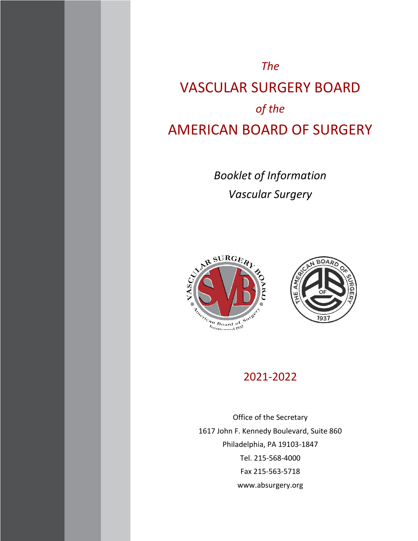# *The* VASCULAR SURGERY BOARD *of the* AMERICAN BOARD OF SURGERY

*Booklet of Information Vascular Surgery*





# 2021-2022

Office of the Secretary 1617 John F. Kennedy Boulevard, Suite 860 Philadelphia, PA 19103-1847 Tel. 215-568-4000 Fax 215-563-5718 www.absurgery.org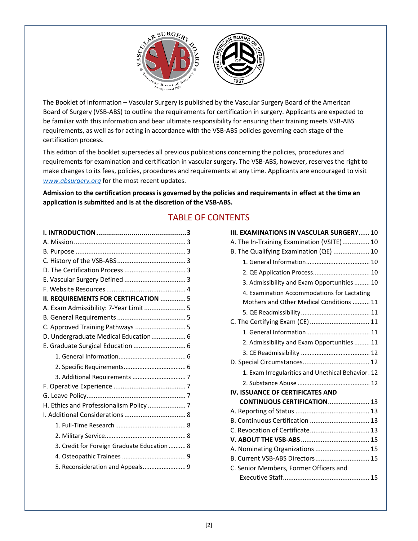

The Booklet of Information – Vascular Surgery is published by the Vascular Surgery Board of the American Board of Surgery (VSB-ABS) to outline the requirements for certification in surgery. Applicants are expected to be familiar with this information and bear ultimate responsibility for ensuring their training meets VSB-ABS requirements, as well as for acting in accordance with the VSB-ABS policies governing each stage of the certification process.

This edition of the booklet supersedes all previous publications concerning the policies, procedures and requirements for examination and certification in vascular surgery. The VSB-ABS, however, reserves the right to make changes to its fees, policies, procedures and requirements at any time. Applicants are encouraged to visit *[www.absurgery.org](http://www.absurgery.org/)* for the most recent updates.

**Admission to the certification process is governed by the policies and requirements in effect at the time an application is submitted and is at the discretion of the VSB-ABS.**

# TABLE OF CONTENTS

| II. REQUIREMENTS FOR CERTIFICATION  5       |  |
|---------------------------------------------|--|
| A. Exam Admissibility: 7-Year Limit  5      |  |
|                                             |  |
| C. Approved Training Pathways  5            |  |
| D. Undergraduate Medical Education 6        |  |
| E. Graduate Surgical Education  6           |  |
|                                             |  |
|                                             |  |
|                                             |  |
|                                             |  |
|                                             |  |
| H. Ethics and Professionalism Policy  7     |  |
|                                             |  |
|                                             |  |
|                                             |  |
| 3. Credit for Foreign Graduate Education  8 |  |
|                                             |  |
| 5. Reconsideration and Appeals 9            |  |
|                                             |  |

| III. EXAMINATIONS IN VASCULAR SURGERY 10          |
|---------------------------------------------------|
| A. The In-Training Examination (VSITE) 10         |
| B. The Qualifying Examination (QE)  10            |
|                                                   |
|                                                   |
| 3. Admissibility and Exam Opportunities  10       |
| 4. Examination Accommodations for Lactating       |
| Mothers and Other Medical Conditions  11          |
|                                                   |
| C. The Certifying Exam (CE)  11                   |
|                                                   |
| 2. Admissibility and Exam Opportunities  11       |
|                                                   |
|                                                   |
| 1. Exam Irregularities and Unethical Behavior. 12 |
|                                                   |
| IV. ISSUANCE OF CERTIFICATES AND                  |
| <b>CONTINUOUS CERTIFICATION 13</b>                |
|                                                   |
|                                                   |
| C. Revocation of Certificate 13                   |
|                                                   |
| A. Nominating Organizations  15                   |
| B. Current VSB-ABS Directors 15                   |
| C. Senior Members, Former Officers and            |
|                                                   |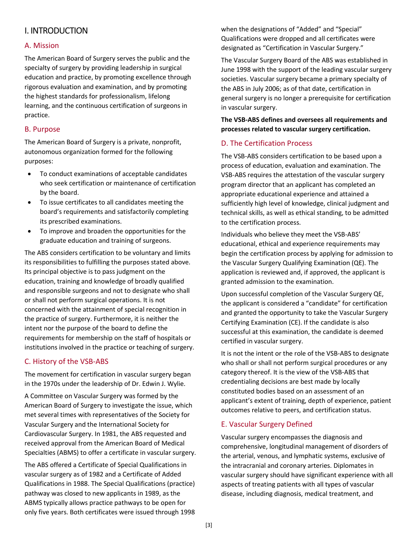# <span id="page-2-0"></span>I. INTRODUCTION

### <span id="page-2-1"></span>A. Mission

The American Board of Surgery serves the public and the specialty of surgery by providing leadership in surgical education and practice, by promoting excellence through rigorous evaluation and examination, and by promoting the highest standards for professionalism, lifelong learning, and the continuous certification of surgeons in practice.

#### <span id="page-2-2"></span>B. Purpose

The American Board of Surgery is a private, nonprofit, autonomous organization formed for the following purposes:

- To conduct examinations of acceptable candidates who seek certification or maintenance of certification by the board.
- To issue certificates to all candidates meeting the board's requirements and satisfactorily completing its prescribed examinations.
- To improve and broaden the opportunities for the graduate education and training of surgeons.

The ABS considers certification to be voluntary and limits its responsibilities to fulfilling the purposes stated above. Its principal objective is to pass judgment on the education, training and knowledge of broadly qualified and responsible surgeons and not to designate who shall or shall not perform surgical operations. It is not concerned with the attainment of special recognition in the practice of surgery. Furthermore, it is neither the intent nor the purpose of the board to define the requirements for membership on the staff of hospitals or institutions involved in the practice or teaching of surgery.

#### <span id="page-2-3"></span>C. History of the VSB-ABS

The movement for certification in vascular surgery began in the 1970s under the leadership of Dr. Edwin J. Wylie.

A Committee on Vascular Surgery was formed by the American Board of Surgery to investigate the issue, which met several times with representatives of the Society for Vascular Surgery and the International Society for Cardiovascular Surgery. In 1981, the ABS requested and received approval from the American Board of Medical Specialties (ABMS) to offer a certificate in vascular surgery.

The ABS offered a Certificate of Special Qualifications in vascular surgery as of 1982 and a Certificate of Added Qualifications in 1988. The Special Qualifications (practice) pathway was closed to new applicants in 1989, as the ABMS typically allows practice pathways to be open for only five years. Both certificates were issued through 1998 when the designations of "Added" and "Special" Qualifications were dropped and all certificates were designated as "Certification in Vascular Surgery."

The Vascular Surgery Board of the ABS was established in June 1998 with the support of the leading vascular surgery societies. Vascular surgery became a primary specialty of the ABS in July 2006; as of that date, certification in general surgery is no longer a prerequisite for certification in vascular surgery.

# **The VSB-ABS defines and oversees all requirements and processes related to vascular surgery certification.**

### <span id="page-2-4"></span>D. The Certification Process

The VSB-ABS considers certification to be based upon a process of education, evaluation and examination. The VSB-ABS requires the attestation of the vascular surgery program director that an applicant has completed an appropriate educational experience and attained a sufficiently high level of knowledge, clinical judgment and technical skills, as well as ethical standing, to be admitted to the certification process.

Individuals who believe they meet the VSB-ABS' educational, ethical and experience requirements may begin the certification process by applying for admission to the Vascular Surgery Qualifying Examination (QE). The application is reviewed and, if approved, the applicant is granted admission to the examination.

Upon successful completion of the Vascular Surgery QE, the applicant is considered a "candidate" for certification and granted the opportunity to take the Vascular Surgery Certifying Examination (CE). If the candidate is also successful at this examination, the candidate is deemed certified in vascular surgery.

It is not the intent or the role of the VSB-ABS to designate who shall or shall not perform surgical procedures or any category thereof. It is the view of the VSB-ABS that credentialing decisions are best made by locally constituted bodies based on an assessment of an applicant's extent of training, depth of experience, patient outcomes relative to peers, and certification status.

# <span id="page-2-5"></span>E. Vascular Surgery Defined

Vascular surgery encompasses the diagnosis and comprehensive, longitudinal management of disorders of the arterial, venous, and lymphatic systems, exclusive of the intracranial and coronary arteries. Diplomates in vascular surgery should have significant experience with all aspects of treating patients with all types of vascular disease, including diagnosis, medical treatment, and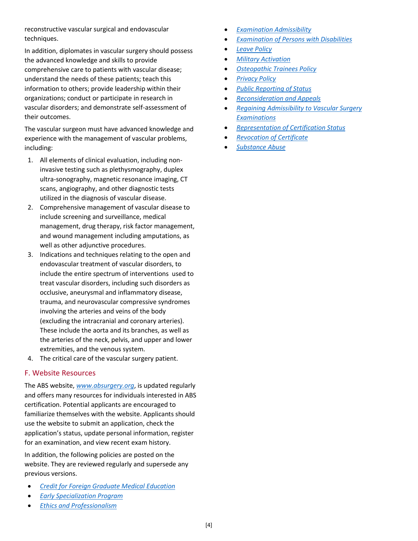reconstructive vascular surgical and endovascular techniques.

In addition, diplomates in vascular surgery should possess the advanced knowledge and skills to provide comprehensive care to patients with vascular disease; understand the needs of these patients; teach this information to others; provide leadership within their organizations; conduct or participate in research in vascular disorders; and demonstrate self-assessment of their outcomes.

The vascular surgeon must have advanced knowledge and experience with the management of vascular problems, including:

- 1. All elements of clinical evaluation, including noninvasive testing such as plethysmography, duplex ultra-sonography, magnetic resonance imaging, CT scans, angiography, and other diagnostic tests utilized in the diagnosis of vascular disease.
- 2. Comprehensive management of vascular disease to include screening and surveillance, medical management, drug therapy, risk factor management, and wound management including amputations, as well as other adjunctive procedures.
- 3. Indications and techniques relating to the open and endovascular treatment of vascular disorders, to include the entire spectrum of interventions used to treat vascular disorders, including such disorders as occlusive, aneurysmal and inflammatory disease, trauma, and neurovascular compressive syndromes involving the arteries and veins of the body (excluding the intracranial and coronary arteries). These include the aorta and its branches, as well as the arteries of the neck, pelvis, and upper and lower extremities, and the venous system.
- 4. The critical care of the vascular surgery patient.

#### <span id="page-3-0"></span>F. Website Resources

The ABS website, *[www.absurgery.org](file://///192.168.111.10/nfs/wp2/Exam%20Booklets/2019-2020/www.absurgery.org)*, is updated regularly and offers many resources for individuals interested in ABS certification. Potential applicants are encouraged to familiarize themselves with the website. Applicants should use the website to submit an application, check the application's status, update personal information, register for an examination, and view recent exam history.

In addition, the following policies are posted on the website. They are reviewed regularly and supersede any previous versions.

- *[Credit for Foreign Graduate Medical Education](http://www.absurgery.org/default.jsp?policycredforeignvs)*
- *[Early Specialization Program](http://www.absurgery.org/default.jsp?policyesp)* • *[Ethics and Professionalism](http://www.absurgery.org/default.jsp?policyethics)*
- *[Examination Admissibility](http://www.absurgery.org/default.jsp?policyexamlimits)*
- *[Examination of Persons with Disabilities](http://www.absurgery.org/default.jsp?policydisabilities)*
- *[Leave Policy](http://www.absurgery.org/default.jsp?policyvsleave)*
- *[Military Activation](http://www.absurgery.org/default.jsp?policymilitaryactivation)*
- *[Osteopathic Trainees Policy](http://www.absurgery.org/default.jsp?policyosteotrainees)*
- *[Privacy Policy](http://www.absurgery.org/default.jsp?policyprivacy)*
- *[Public Reporting of Status](http://www.absurgery.org/default.jsp?policyreportstatus)*
- *[Reconsideration and Appeals](http://www.absurgery.org/default.jsp?policyappeals)*
- *[Regaining Admissibility to Vascular Surgery](http://www.absurgery.org/default.jsp?policyreadmisallvs)  [Examinations](http://www.absurgery.org/default.jsp?policyreadmisallvs)*
- *[Representation of Certification Status](http://www.absurgery.org/default.jsp?policyrepofcert)*
- *[Revocation of Certificate](http://www.absurgery.org/default.jsp?policyrevocation)*
- *[Substance Abuse](http://www.absurgery.org/default.jsp?policysubabuse)*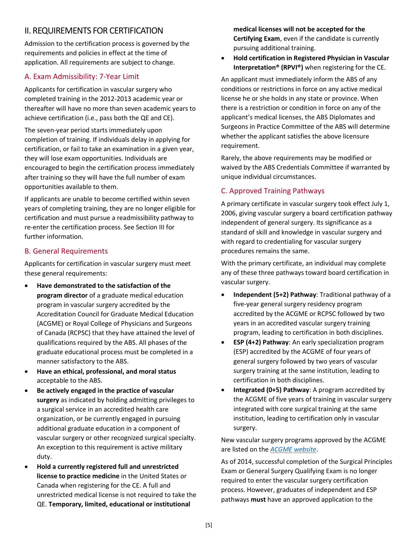# <span id="page-4-0"></span>II. REQUIREMENTS FOR CERTIFICATION

Admission to the certification process is governed by the requirements and policies in effect at the time of application. All requirements are subject to change.

# <span id="page-4-1"></span>A. Exam Admissibility: 7-Year Limit

Applicants for certification in vascular surgery who completed training in the 2012-2013 academic year or thereafter will have no more than seven academic years to achieve certification (i.e., pass both the QE and CE).

The seven-year period starts immediately upon completion of training. If individuals delay in applying for certification, or fail to take an examination in a given year, they will lose exam opportunities. Individuals are encouraged to begin the certification process immediately after training so they will have the full number of exam opportunities available to them.

If applicants are unable to become certified within seven years of completing training, they are no longer eligible for certification and must pursue a readmissibility pathway to re-enter the certification process. See Section III for further information.

# <span id="page-4-2"></span>B. General Requirements

Applicants for certification in vascular surgery must meet these general requirements:

- **Have demonstrated to the satisfaction of the program director** of a graduate medical education program in vascular surgery accredited by the Accreditation Council for Graduate Medical Education (ACGME) or Royal College of Physicians and Surgeons of Canada (RCPSC) that they have attained the level of qualifications required by the ABS. All phases of the graduate educational process must be completed in a manner satisfactory to the ABS.
- **Have an ethical, professional, and moral status** acceptable to the ABS.
- **Be actively engaged in the practice of vascular surgery** as indicated by holding admitting privileges to a surgical service in an accredited health care organization, or be currently engaged in pursuing additional graduate education in a component of vascular surgery or other recognized surgical specialty. An exception to this requirement is active military duty.
- **Hold a currently registered full and unrestricted license to practice medicine** in the United States or Canada when registering for the CE. A full and unrestricted medical license is not required to take the QE. **Temporary, limited, educational or institutional**

**medical licenses will not be accepted for the Certifying Exam**, even if the candidate is currently pursuing additional training.

• **Hold certification in Registered Physician in Vascular Interpretation® (RPVI®)** when registering for the CE.

An applicant must immediately inform the ABS of any conditions or restrictions in force on any active medical license he or she holds in any state or province. When there is a restriction or condition in force on any of the applicant's medical licenses, the ABS Diplomates and Surgeons in Practice Committee of the ABS will determine whether the applicant satisfies the above licensure requirement.

Rarely, the above requirements may be modified or waived by the ABS Credentials Committee if warranted by unique individual circumstances.

# <span id="page-4-3"></span>C. Approved Training Pathways

A primary certificate in vascular surgery took effect July 1, 2006, giving vascular surgery a board certification pathway independent of general surgery. Its significance as a standard of skill and knowledge in vascular surgery and with regard to credentialing for vascular surgery procedures remains the same.

With the primary certificate, an individual may complete any of these three pathways toward board certification in vascular surgery.

- **Independent (5+2) Pathway**: Traditional pathway of a five-year general surgery residency program accredited by the ACGME or RCPSC followed by two years in an accredited vascular surgery training program, leading to certification in both disciplines.
- **ESP (4+2) Pathway**: An early specialization program (ESP) accredited by the ACGME of four years of general surgery followed by two years of vascular surgery training at the same institution, leading to certification in both disciplines.
- **Integrated (0+5) Pathway**: A program accredited by the ACGME of five years of training in vascular surgery integrated with core surgical training at the same institution, leading to certification only in vascular surgery.

New vascular surgery programs approved by the ACGME are listed on the *[ACGME website](https://apps.acgme.org/ads/Public)*.

As of 2014, successful completion of the Surgical Principles Exam or General Surgery Qualifying Exam is no longer required to enter the vascular surgery certification process. However, graduates of independent and ESP pathways **must** have an approved application to the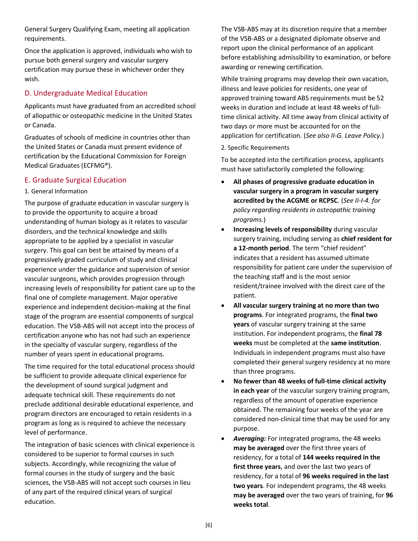General Surgery Qualifying Exam, meeting all application requirements.

Once the application is approved, individuals who wish to pursue both general surgery and vascular surgery certification may pursue these in whichever order they wish.

# <span id="page-5-0"></span>D. Undergraduate Medical Education

Applicants must have graduated from an accredited school of allopathic or osteopathic medicine in the United States or Canada.

Graduates of schools of medicine in countries other than the United States or Canada must present evidence of certification by the Educational Commission for Foreign Medical Graduates (ECFMG®).

# <span id="page-5-1"></span>E. Graduate Surgical Education

<span id="page-5-2"></span>1. General Information

The purpose of graduate education in vascular surgery is to provide the opportunity to acquire a broad understanding of human biology as it relates to vascular disorders, and the technical knowledge and skills appropriate to be applied by a specialist in vascular surgery. This goal can best be attained by means of a progressively graded curriculum of study and clinical experience under the guidance and supervision of senior vascular surgeons, which provides progression through increasing levels of responsibility for patient care up to the final one of complete management. Major operative experience and independent decision-making at the final stage of the program are essential components of surgical education. The VSB-ABS will not accept into the process of certification anyone who has not had such an experience in the specialty of vascular surgery, regardless of the number of years spent in educational programs.

The time required for the total educational process should be sufficient to provide adequate clinical experience for the development of sound surgical judgment and adequate technical skill. These requirements do not preclude additional desirable educational experience, and program directors are encouraged to retain residents in a program as long as is required to achieve the necessary level of performance.

The integration of basic sciences with clinical experience is considered to be superior to formal courses in such subjects. Accordingly, while recognizing the value of formal courses in the study of surgery and the basic sciences, the VSB-ABS will not accept such courses in lieu of any part of the required clinical years of surgical education.

The VSB-ABS may at its discretion require that a member of the VSB-ABS or a designated diplomate observe and report upon the clinical performance of an applicant before establishing admissibility to examination, or before awarding or renewing certification.

While training programs may develop their own vacation, illness and leave policies for residents, one year of approved training toward ABS requirements must be 52 weeks in duration and include at least 48 weeks of fulltime clinical activity. All time away from clinical activity of two days or more must be accounted for on the application for certification. (*See also II-G. Leave Policy.*)

<span id="page-5-3"></span>2. Specific Requirements

To be accepted into the certification process, applicants must have satisfactorily completed the following:

- **All phases of progressive graduate education in vascular surgery in a program in vascular surgery accredited by the ACGME or RCPSC**. (*See II-I-4. for policy regarding residents in osteopathic training programs.*)
- **Increasing levels of responsibility** during vascular surgery training, including serving as **chief resident for a 12-month period**. The term "chief resident" indicates that a resident has assumed ultimate responsibility for patient care under the supervision of the teaching staff and is the most senior resident/trainee involved with the direct care of the patient.
- **All vascular surgery training at no more than two programs**. For integrated programs, the **final two years** of vascular surgery training at the same institution. For independent programs, the **final 78 weeks** must be completed at the **same institution**. Individuals in independent programs must also have completed their general surgery residency at no more than three programs.
- **No fewer than 48 weeks of full-time clinical activity in each year** of the vascular surgery training program, regardless of the amount of operative experience obtained. The remaining four weeks of the year are considered non-clinical time that may be used for any purpose.
- *Averaging:* For integrated programs, the 48 weeks **may be averaged** over the first three years of residency, for a total of **144 weeks required in the first three years**, and over the last two years of residency, for a total of **96 weeks required in the last two years**. For independent programs, the 48 weeks **may be averaged** over the two years of training, for **96 weeks total**.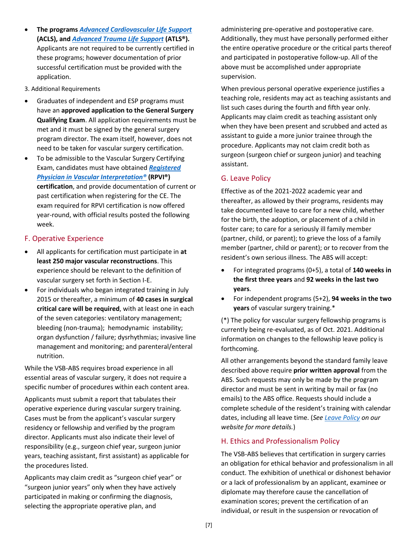- **The programs** *[Advanced Cardiovascular Life Support](http://cpr.heart.org/AHAECC/CPRAndECC/Training/HealthcareProfessional/AdvancedCardiovascularLifeSupportACLS/UCM_473186_Advanced-Cardiovascular-Life-Support-ACLS.jsp)* **(ACLS), and** *[Advanced Trauma Life Support](https://www.facs.org/quality-programs/trauma/atls)* **(ATLS®).** Applicants are not required to be currently certified in these programs; however documentation of prior successful certification must be provided with the application.
- <span id="page-6-0"></span>3. Additional Requirements
- Graduates of independent and ESP programs must have an **approved application to the General Surgery Qualifying Exam**. All application requirements must be met and it must be signed by the general surgery program director. The exam itself, however, does not need to be taken for vascular surgery certification.
- To be admissible to the Vascular Surgery Certifying Exam, candidates must have obtained *[Registered](https://www.apca.org/certifications-examinations/registered-physician-in-vascular-interpretation/)  [Physician in Vascular Interpretation®](https://www.apca.org/certifications-examinations/registered-physician-in-vascular-interpretation/)* **(RPVI®) certification**, and provide documentation of current or past certification when registering for the CE. The exam required for RPVI certification is now offered year-round, with official results posted the following week.

# <span id="page-6-1"></span>F. Operative Experience

- All applicants for certification must participate in **at least 250 major vascular reconstructions**. This experience should be relevant to the definition of vascular surgery set forth in Section I-E.
- For individuals who began integrated training in July 2015 or thereafter, a minimum of **40 cases in surgical critical care will be required**, with at least one in each of the seven categories: ventilatory management; bleeding (non-trauma); hemodynamic instability; organ dysfunction / failure; dysrhythmias; invasive line management and monitoring; and parenteral/enteral nutrition.

While the VSB-ABS requires broad experience in all essential areas of vascular surgery, it does not require a specific number of procedures within each content area.

Applicants must submit a report that tabulates their operative experience during vascular surgery training. Cases must be from the applicant's vascular surgery residency or fellowship and verified by the program director. Applicants must also indicate their level of responsibility (e.g., surgeon chief year, surgeon junior years, teaching assistant, first assistant) as applicable for the procedures listed.

Applicants may claim credit as "surgeon chief year" or "surgeon junior years" only when they have actively participated in making or confirming the diagnosis, selecting the appropriate operative plan, and

administering pre-operative and postoperative care. Additionally, they must have personally performed either the entire operative procedure or the critical parts thereof and participated in postoperative follow-up. All of the above must be accomplished under appropriate supervision.

When previous personal operative experience justifies a teaching role, residents may act as teaching assistants and list such cases during the fourth and fifth year only. Applicants may claim credit as teaching assistant only when they have been present and scrubbed and acted as assistant to guide a more junior trainee through the procedure. Applicants may not claim credit both as surgeon (surgeon chief or surgeon junior) and teaching assistant.

# <span id="page-6-2"></span>G. Leave Policy

Effective as of the 2021-2022 academic year and thereafter, as allowed by their programs, residents may take documented leave to care for a new child, whether for the birth, the adoption, or placement of a child in foster care; to care for a seriously ill family member (partner, child, or parent); to grieve the loss of a family member (partner, child or parent); or to recover from the resident's own serious illness. The ABS will accept:

- For integrated programs (0+5), a total of **140 weeks in the first three years** and **92 weeks in the last two years**.
- For independent programs (5+2), **94 weeks in the two years** of vascular surgery training.\*

(\*) The policy for vascular surgery fellowship programs is currently being re-evaluated, as of Oct. 2021. Additional information on changes to the fellowship leave policy is forthcoming.

All other arrangements beyond the standard family leave described above require **prior written approval** from the ABS. Such requests may only be made by the program director and must be sent in writing by mail or fax (no emails) to the ABS office. Requests should include a complete schedule of the resident's training with calendar dates, including all leave time. (*Se[e Leave Policy](http://www.absurgery.org/default.jsp?policyvsleave) on our website for more details.*)

# <span id="page-6-3"></span>H. Ethics and Professionalism Policy

The VSB-ABS believes that certification in surgery carries an obligation for ethical behavior and professionalism in all conduct. The exhibition of unethical or dishonest behavior or a lack of professionalism by an applicant, examinee or diplomate may therefore cause the cancellation of examination scores; prevent the certification of an individual, or result in the suspension or revocation of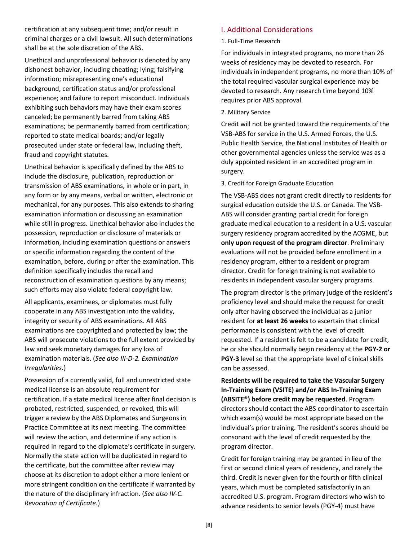certification at any subsequent time; and/or result in criminal charges or a civil lawsuit. All such determinations shall be at the sole discretion of the ABS.

Unethical and unprofessional behavior is denoted by any dishonest behavior, including cheating; lying; falsifying information; misrepresenting one's educational background, certification status and/or professional experience; and failure to report misconduct. Individuals exhibiting such behaviors may have their exam scores canceled; be permanently barred from taking ABS examinations; be permanently barred from certification; reported to state medical boards; and/or legally prosecuted under state or federal law, including theft, fraud and copyright statutes.

Unethical behavior is specifically defined by the ABS to include the disclosure, publication, reproduction or transmission of ABS examinations, in whole or in part, in any form or by any means, verbal or written, electronic or mechanical, for any purposes. This also extends to sharing examination information or discussing an examination while still in progress. Unethical behavior also includes the possession, reproduction or disclosure of materials or information, including examination questions or answers or specific information regarding the content of the examination, before, during or after the examination. This definition specifically includes the recall and reconstruction of examination questions by any means; such efforts may also violate federal copyright law.

All applicants, examinees, or diplomates must fully cooperate in any ABS investigation into the validity, integrity or security of ABS examinations. All ABS examinations are copyrighted and protected by law; the ABS will prosecute violations to the full extent provided by law and seek monetary damages for any loss of examination materials. (*See also III-D-2. Examination Irregularities.*)

Possession of a currently valid, full and unrestricted state medical license is an absolute requirement for certification. If a state medical license after final decision is probated, restricted, suspended, or revoked, this will trigger a review by the ABS Diplomates and Surgeons in Practice Committee at its next meeting. The committee will review the action, and determine if any action is required in regard to the diplomate's certificate in surgery. Normally the state action will be duplicated in regard to the certificate, but the committee after review may choose at its discretion to adopt either a more lenient or more stringent condition on the certificate if warranted by the nature of the disciplinary infraction. (*See also IV-C. Revocation of Certificate.*)

#### <span id="page-7-0"></span>I. Additional Considerations

#### <span id="page-7-1"></span>1. Full-Time Research

For individuals in integrated programs, no more than 26 weeks of residency may be devoted to research. For individuals in independent programs, no more than 10% of the total required vascular surgical experience may be devoted to research. Any research time beyond 10% requires prior ABS approval.

#### <span id="page-7-2"></span>2. Military Service

Credit will not be granted toward the requirements of the VSB-ABS for service in the U.S. Armed Forces, the U.S. Public Health Service, the National Institutes of Health or other governmental agencies unless the service was as a duly appointed resident in an accredited program in surgery.

<span id="page-7-3"></span>3. Credit for Foreign Graduate Education

The VSB-ABS does not grant credit directly to residents for surgical education outside the U.S. or Canada. The VSB-ABS will consider granting partial credit for foreign graduate medical education to a resident in a U.S. vascular surgery residency program accredited by the ACGME, but **only upon request of the program director**. Preliminary evaluations will not be provided before enrollment in a residency program, either to a resident or program director. Credit for foreign training is not available to residents in independent vascular surgery programs.

The program director is the primary judge of the resident's proficiency level and should make the request for credit only after having observed the individual as a junior resident for **at least 26 weeks** to ascertain that clinical performance is consistent with the level of credit requested. If a resident is felt to be a candidate for credit, he or she should normally begin residency at the **PGY-2 or PGY-3** level so that the appropriate level of clinical skills can be assessed.

**Residents will be required to take the Vascular Surgery In-Training Exam (VSITE) and/or ABS In-Training Exam (ABSITE®) before credit may be requested**. Program directors should contact the ABS coordinator to ascertain which exam(s) would be most appropriate based on the individual's prior training. The resident's scores should be consonant with the level of credit requested by the program director.

Credit for foreign training may be granted in lieu of the first or second clinical years of residency, and rarely the third. Credit is never given for the fourth or fifth clinical years, which must be completed satisfactorily in an accredited U.S. program. Program directors who wish to advance residents to senior levels (PGY-4) must have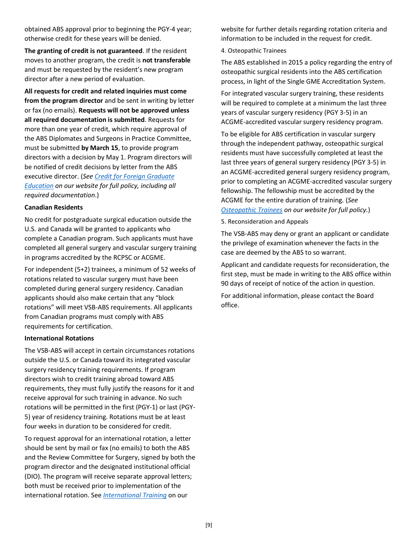obtained ABS approval prior to beginning the PGY-4 year; otherwise credit for these years will be denied.

**The granting of credit is not guaranteed**. If the resident moves to another program, the credit is **not transferable** and must be requested by the resident's new program director after a new period of evaluation.

**All requests for credit and related inquiries must come from the program director** and be sent in writing by letter or fax (no emails). **Requests will not be approved unless all required documentation is submitted**. Requests for more than one year of credit, which require approval of the ABS Diplomates and Surgeons in Practice Committee, must be submitted **by March 15**, to provide program directors with a decision by May 1. Program directors will be notified of credit decisions by letter from the ABS executive director. (*Se[e Credit for Foreign Graduate](http://www.absurgery.org/default.jsp?policycredforeignvs)  [Education](http://www.absurgery.org/default.jsp?policycredforeignvs) on our website for full policy, including all required documentation*.)

#### **Canadian Residents**

No credit for postgraduate surgical education outside the U.S. and Canada will be granted to applicants who complete a Canadian program. Such applicants must have completed all general surgery and vascular surgery training in programs accredited by the RCPSC or ACGME.

For independent (5+2) trainees, a minimum of 52 weeks of rotations related to vascular surgery must have been completed during general surgery residency. Canadian applicants should also make certain that any "block rotations" will meet VSB-ABS requirements. All applicants from Canadian programs must comply with ABS requirements for certification.

#### **International Rotations**

The VSB-ABS will accept in certain circumstances rotations outside the U.S. or Canada toward its integrated vascular surgery residency training requirements. If program directors wish to credit training abroad toward ABS requirements, they must fully justify the reasons for it and receive approval for such training in advance. No such rotations will be permitted in the first (PGY-1) or last (PGY-5) year of residency training. Rotations must be at least four weeks in duration to be considered for credit.

To request approval for an international rotation, a letter should be sent by mail or fax (no emails) to both the ABS and the Review Committee for Surgery, signed by both the program director and the designated institutional official (DIO). The program will receive separate approval letters; both must be received prior to implementation of the international rotation. See *[International Training](http://www.absurgery.org/default.jsp?certintlgraduates)* on our

website for further details regarding rotation criteria and information to be included in the request for credit.

#### <span id="page-8-0"></span>4. Osteopathic Trainees

The ABS established in 2015 a policy regarding the entry of osteopathic surgical residents into the ABS certification process, in light of the Single GME Accreditation System.

For integrated vascular surgery training, these residents will be required to complete at a minimum the last three years of vascular surgery residency (PGY 3-5) in an ACGME-accredited vascular surgery residency program.

To be eligible for ABS certification in vascular surgery through the independent pathway, osteopathic surgical residents must have successfully completed at least the last three years of general surgery residency (PGY 3-5) in an ACGME-accredited general surgery residency program, prior to completing an ACGME-accredited vascular surgery fellowship. The fellowship must be accredited by the ACGME for the entire duration of training. (*See [Osteopathic Trainees](http://www.absurgery.org/default.jsp?policyosteotrainees) on our website for full policy.*)

<span id="page-8-1"></span>5. Reconsideration and Appeals

The VSB-ABS may deny or grant an applicant or candidate the privilege of examination whenever the facts in the case are deemed by the ABS to so warrant.

Applicant and candidate requests for reconsideration, the first step, must be made in writing to the ABS office within 90 days of receipt of notice of the action in question.

For additional information, please contact the Board office.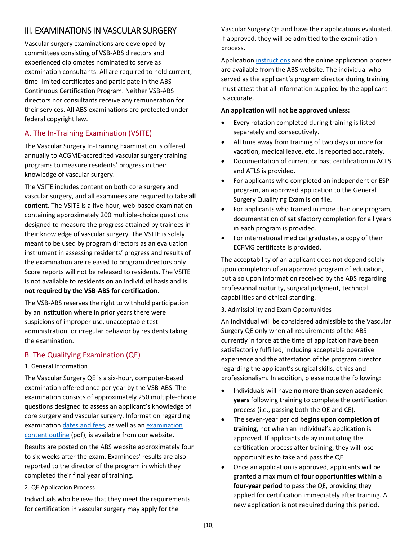# <span id="page-9-0"></span>III. EXAMINATIONS IN VASCULAR SURGERY

Vascular surgery examinations are developed by committees consisting of VSB-ABS directors and experienced diplomates nominated to serve as examination consultants. All are required to hold current, time-limited certificates and participate in the ABS Continuous Certification Program. Neither VSB-ABS directors nor consultants receive any remuneration for their services. All ABS examinations are protected under federal copyright law.

# <span id="page-9-1"></span>A. The In-Training Examination (VSITE)

The Vascular Surgery In-Training Examination is offered annually to ACGME-accredited vascular surgery training programs to measure residents' progress in their knowledge of vascular surgery.

The VSITE includes content on both core surgery and vascular surgery, and all examinees are required to take **all content**. The VSITE is a five-hour, web-based examination containing approximately 200 multiple-choice questions designed to measure the progress attained by trainees in their knowledge of vascular surgery. The VSITE is solely meant to be used by program directors as an evaluation instrument in assessing residents' progress and results of the examination are released to program directors only. Score reports will not be released to residents. The VSITE is not available to residents on an individual basis and is **not required by the VSB-ABS for certification**.

The VSB-ABS reserves the right to withhold participation by an institution where in prior years there were suspicions of improper use, unacceptable test administration, or irregular behavior by residents taking the examination.

# <span id="page-9-2"></span>B. The Qualifying Examination (QE)

<span id="page-9-3"></span>1. General Information

The Vascular Surgery QE is a six-hour, computer-based examination offered once per year by the VSB-ABS. The examination consists of approximately 250 multiple-choice questions designed to assess an applicant's knowledge of core surgery and vascular surgery. Information regarding examinatio[n dates and fees,](http://www.absurgery.org/default.jsp?examdeadlines) as well as a[n examination](http://www.absurgery.org/xfer/VS-ITE-QE-RECERT.pdf)  [content outline](http://www.absurgery.org/xfer/VS-ITE-QE-RECERT.pdf) (pdf), is available from our website.

Results are posted on the ABS website approximately four to six weeks after the exam. Examinees' results are also reported to the director of the program in which they completed their final year of training.

<span id="page-9-4"></span>2. QE Application Process

Individuals who believe that they meet the requirements for certification in vascular surgery may apply for the

Vascular Surgery QE and have their applications evaluated. If approved, they will be admitted to the examination process.

Applicatio[n instructions](http://www.absurgery.org/default.jsp?app_vqe_inst) and the online application process are available from the ABS website. The individual who served as the applicant's program director during training must attest that all information supplied by the applicant is accurate.

#### **An application will not be approved unless:**

- Every rotation completed during training is listed separately and consecutively.
- All time away from training of two days or more for vacation, medical leave, etc., is reported accurately.
- Documentation of current or past certification in ACLS and ATLS is provided.
- For applicants who completed an independent or ESP program, an approved application to the General Surgery Qualifying Exam is on file.
- For applicants who trained in more than one program, documentation of satisfactory completion for all years in each program is provided.
- For international medical graduates, a copy of their ECFMG certificate is provided.

The acceptability of an applicant does not depend solely upon completion of an approved program of education, but also upon information received by the ABS regarding professional maturity, surgical judgment, technical capabilities and ethical standing.

<span id="page-9-5"></span>3. Admissibility and Exam Opportunities

An individual will be considered admissible to the Vascular Surgery QE only when all requirements of the ABS currently in force at the time of application have been satisfactorily fulfilled, including acceptable operative experience and the attestation of the program director regarding the applicant's surgical skills, ethics and professionalism. In addition, please note the following:

- Individuals will have **no more than seven academic years** following training to complete the certification process (i.e., passing both the QE and CE).
- The seven-year period **begins upon completion of training**, not when an individual's application is approved. If applicants delay in initiating the certification process after training, they will lose opportunities to take and pass the QE.
- Once an application is approved, applicants will be granted a maximum of **four opportunities within a four-year period** to pass the QE, providing they applied for certification immediately after training. A new application is not required during this period.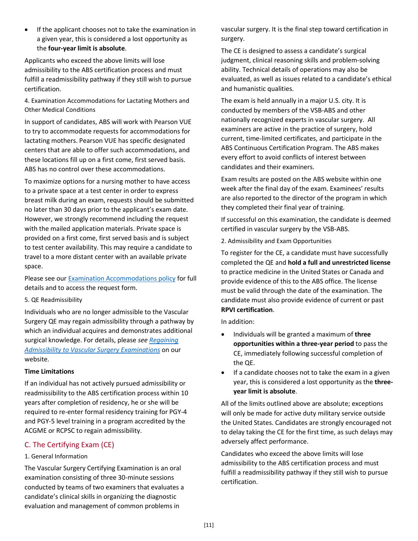If the applicant chooses not to take the examination in a given year, this is considered a lost opportunity as the **four-year limit is absolute**.

Applicants who exceed the above limits will lose admissibility to the ABS certification process and must fulfill a readmissibility pathway if they still wish to pursue certification.

<span id="page-10-0"></span>4. Examination Accommodations for Lactating Mothers and Other Medical Conditions

In support of candidates, ABS will work with Pearson VUE to try to accommodate requests for accommodations for lactating mothers. Pearson VUE has specific designated centers that are able to offer such accommodations, and these locations fill up on a first come, first served basis. ABS has no control over these accommodations.

To maximize options for a nursing mother to have access to a private space at a test center in order to express breast milk during an exam, requests should be submitted no later than 30 days prior to the applicant's exam date. However, we strongly recommend including the request with the mailed application materials. Private space is provided on a first come, first served basis and is subject to test center availability. This may require a candidate to travel to a more distant center with an available private space.

Please see our [Examination Accommodations policy](http://www.absurgery.org/default.jsp?policyaccommodations) for full details and to access the request form.

<span id="page-10-1"></span>5. QE Readmissibility

Individuals who are no longer admissible to the Vascular Surgery QE may regain admissibility through a pathway by which an individual acquires and demonstrates additional surgical knowledge. For details, please *se[e Regaining](http://www.absurgery.org/default.jsp?policyreadmisallvs)  [Admissibility to Vascular Surgery Examinations](http://www.absurgery.org/default.jsp?policyreadmisallvs)* on our website.

#### **Time Limitations**

If an individual has not actively pursued admissibility or readmissibility to the ABS certification process within 10 years after completion of residency, he or she will be required to re-enter formal residency training for PGY-4 and PGY-5 level training in a program accredited by the ACGME or RCPSC to regain admissibility.

#### <span id="page-10-2"></span>C. The Certifying Exam (CE)

#### <span id="page-10-3"></span>1. General Information

The Vascular Surgery Certifying Examination is an oral examination consisting of three 30-minute sessions conducted by teams of two examiners that evaluates a candidate's clinical skills in organizing the diagnostic evaluation and management of common problems in

vascular surgery. It is the final step toward certification in surgery.

The CE is designed to assess a candidate's surgical judgment, clinical reasoning skills and problem-solving ability. Technical details of operations may also be evaluated, as well as issues related to a candidate's ethical and humanistic qualities.

The exam is held annually in a major U.S. city. It is conducted by members of the VSB-ABS and other nationally recognized experts in vascular surgery. All examiners are active in the practice of surgery, hold current, time-limited certificates, and participate in the ABS Continuous Certification Program. The ABS makes every effort to avoid conflicts of interest between candidates and their examiners.

Exam results are posted on the ABS website within one week after the final day of the exam. Examinees' results are also reported to the director of the program in which they completed their final year of training.

If successful on this examination, the candidate is deemed certified in vascular surgery by the VSB-ABS.

<span id="page-10-4"></span>2. Admissibility and Exam Opportunities

To register for the CE, a candidate must have successfully completed the QE and **hold a full and unrestricted license** to practice medicine in the United States or Canada and provide evidence of this to the ABS office. The license must be valid through the date of the examination. The candidate must also provide evidence of current or past **RPVI certification**.

In addition:

- Individuals will be granted a maximum of **three opportunities within a three-year period** to pass the CE, immediately following successful completion of the QE.
- If a candidate chooses not to take the exam in a given year, this is considered a lost opportunity as the **threeyear limit is absolute**.

All of the limits outlined above are absolute; exceptions will only be made for active duty military service outside the United States. Candidates are strongly encouraged not to delay taking the CE for the first time, as such delays may adversely affect performance.

Candidates who exceed the above limits will lose admissibility to the ABS certification process and must fulfill a readmissibility pathway if they still wish to pursue certification.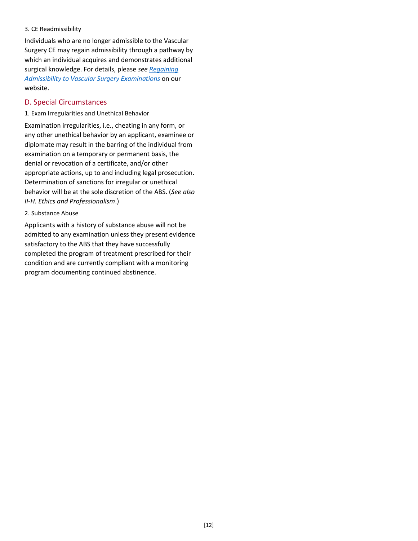#### <span id="page-11-0"></span>3. CE Readmissibility

Individuals who are no longer admissible to the Vascular Surgery CE may regain admissibility through a pathway by which an individual acquires and demonstrates additional surgical knowledge. For details, please *se[e Regaining](http://www.absurgery.org/default.jsp?policyreadmisallvs)  [Admissibility to Vascular Surgery Examinations](http://www.absurgery.org/default.jsp?policyreadmisallvs)* on our website.

#### <span id="page-11-1"></span>D. Special Circumstances

<span id="page-11-2"></span>1. Exam Irregularities and Unethical Behavior

Examination irregularities, i.e., cheating in any form, or any other unethical behavior by an applicant, examinee or diplomate may result in the barring of the individual from examination on a temporary or permanent basis, the denial or revocation of a certificate, and/or other appropriate actions, up to and including legal prosecution. Determination of sanctions for irregular or unethical behavior will be at the sole discretion of the ABS. (*See also II-H. Ethics and Professionalism*.)

#### <span id="page-11-3"></span>2. Substance Abuse

Applicants with a history of substance abuse will not be admitted to any examination unless they present evidence satisfactory to the ABS that they have successfully completed the program of treatment prescribed for their condition and are currently compliant with a monitoring program documenting continued abstinence.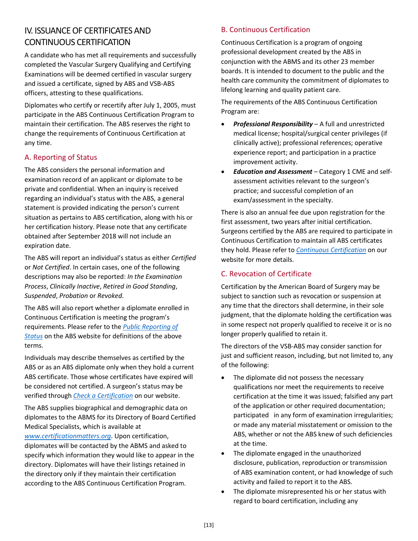# <span id="page-12-0"></span>IV. ISSUANCE OF CERTIFICATES AND CONTINUOUS CERTIFICATION

A candidate who has met all requirements and successfully completed the Vascular Surgery Qualifying and Certifying Examinations will be deemed certified in vascular surgery and issued a certificate, signed by ABS and VSB-ABS officers, attesting to these qualifications.

Diplomates who certify or recertify after July 1, 2005, must participate in the ABS Continuous Certification Program to maintain their certification. The ABS reserves the right to change the requirements of Continuous Certification at any time.

# <span id="page-12-1"></span>A. Reporting of Status

The ABS considers the personal information and examination record of an applicant or diplomate to be private and confidential. When an inquiry is received regarding an individual's status with the ABS, a general statement is provided indicating the person's current situation as pertains to ABS certification, along with his or her certification history. Please note that any certificate obtained after September 2018 will not include an expiration date.

The ABS will report an individual's status as either *Certified* or *Not Certified*. In certain cases, one of the following descriptions may also be reported: *In the Examination Process*, *Clinically Inactive*, *Retired in Good Standing*, *Suspended*, *Probation* or *Revoked*.

The ABS will also report whether a diplomate enrolled in Continuous Certification is meeting the program's requirements. Please refer to the *[Public Reporting of](http://www.absurgery.org/default.jsp?policyreportstatus)  [Status](http://www.absurgery.org/default.jsp?policyreportstatus)* on the ABS website for definitions of the above terms.

Individuals may describe themselves as certified by the ABS or as an ABS diplomate only when they hold a current ABS certificate. Those whose certificates have expired will be considered not certified. A surgeon's status may be verified through *[Check a Certification](https://www.absurgery.org/app.jsp?type=vc&id=27)* on our website.

The ABS supplies biographical and demographic data on diplomates to the ABMS for its Directory of Board Certified Medical Specialists, which is available at *[www.certificationmatters.org](http://www.certificationmatters.org/)*. Upon certification, diplomates will be contacted by the ABMS and asked to specify which information they would like to appear in the directory. Diplomates will have their listings retained in the directory only if they maintain their certification according to the ABS Continuous Certification Program.

# <span id="page-12-2"></span>B. Continuous Certification

Continuous Certification is a program of ongoing professional development created by the ABS in conjunction with the ABMS and its other 23 member boards. It is intended to document to the public and the health care community the commitment of diplomates to lifelong learning and quality patient care.

The requirements of the ABS Continuous Certification Program are:

- *Professional Responsibility* A full and unrestricted medical license; hospital/surgical center privileges (if clinically active); professional references; operative experience report; and participation in a practice improvement activity.
- *Education and Assessment* Category 1 CME and selfassessment activities relevant to the surgeon's practice; and successful completion of an exam/assessment in the specialty.

There is also an annual fee due upon registration for the first assessment, two years after initial certification. Surgeons certified by the ABS are required to participate in Continuous Certification to maintain all ABS certificates they hold. Please refer to *[Continuous Certification](http://www.absurgery.org/default.jsp?exam-moc)* on our website for more details.

# <span id="page-12-3"></span>C. Revocation of Certificate

Certification by the American Board of Surgery may be subject to sanction such as revocation or suspension at any time that the directors shall determine, in their sole judgment, that the diplomate holding the certification was in some respect not properly qualified to receive it or is no longer properly qualified to retain it.

The directors of the VSB-ABS may consider sanction for just and sufficient reason, including, but not limited to, any of the following:

- The diplomate did not possess the necessary qualifications nor meet the requirements to receive certification at the time it was issued; falsified any part of the application or other required documentation; participated in any form of examination irregularities; or made any material misstatement or omission to the ABS, whether or not the ABS knew of such deficiencies at the time.
- The diplomate engaged in the unauthorized disclosure, publication, reproduction or transmission of ABS examination content, or had knowledge of such activity and failed to report it to the ABS.
- The diplomate misrepresented his or her status with regard to board certification, including any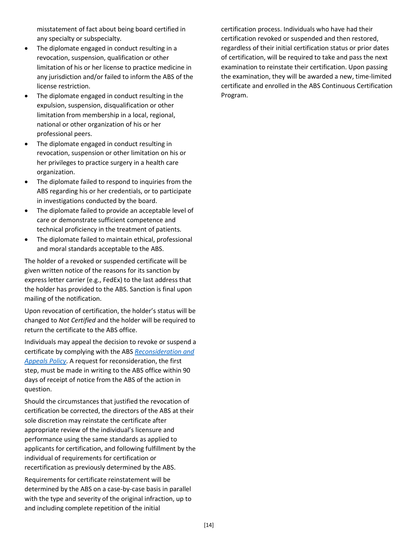misstatement of fact about being board certified in any specialty or subspecialty.

- The diplomate engaged in conduct resulting in a revocation, suspension, qualification or other limitation of his or her license to practice medicine in any jurisdiction and/or failed to inform the ABS of the license restriction.
- The diplomate engaged in conduct resulting in the expulsion, suspension, disqualification or other limitation from membership in a local, regional, national or other organization of his or her professional peers.
- The diplomate engaged in conduct resulting in revocation, suspension or other limitation on his or her privileges to practice surgery in a health care organization.
- The diplomate failed to respond to inquiries from the ABS regarding his or her credentials, or to participate in investigations conducted by the board.
- The diplomate failed to provide an acceptable level of care or demonstrate sufficient competence and technical proficiency in the treatment of patients.
- The diplomate failed to maintain ethical, professional and moral standards acceptable to the ABS.

The holder of a revoked or suspended certificate will be given written notice of the reasons for its sanction by express letter carrier (e.g., FedEx) to the last address that the holder has provided to the ABS. Sanction is final upon mailing of the notification.

Upon revocation of certification, the holder's status will be changed to *Not Certified* and the holder will be required to return the certificate to the ABS office.

Individuals may appeal the decision to revoke or suspend a certificate by complying with the ABS *[Reconsideration and](http://www.absurgery.org/default.jsp?policyappeals)  [Appeals Policy](http://www.absurgery.org/default.jsp?policyappeals)*. A request for reconsideration, the first step, must be made in writing to the ABS office within 90 days of receipt of notice from the ABS of the action in question.

Should the circumstances that justified the revocation of certification be corrected, the directors of the ABS at their sole discretion may reinstate the certificate after appropriate review of the individual's licensure and performance using the same standards as applied to applicants for certification, and following fulfillment by the individual of requirements for certification or recertification as previously determined by the ABS.

Requirements for certificate reinstatement will be determined by the ABS on a case-by-case basis in parallel with the type and severity of the original infraction, up to and including complete repetition of the initial

certification process. Individuals who have had their certification revoked or suspended and then restored, regardless of their initial certification status or prior dates of certification, will be required to take and pass the next examination to reinstate their certification. Upon passing the examination, they will be awarded a new, time-limited certificate and enrolled in the ABS Continuous Certification Program.